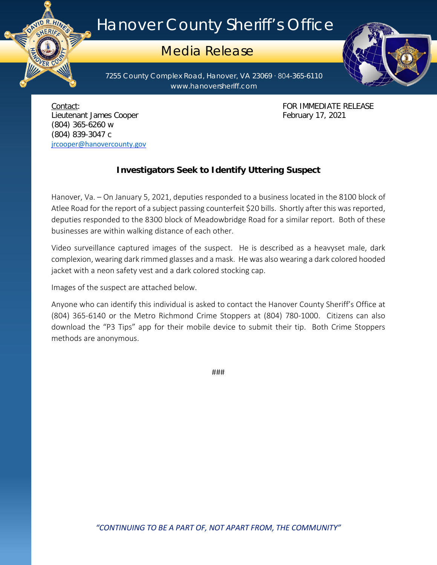## Hanover County Sheriff's Office

## Media Release

7255 County Complex Road, Hanover, VA 23069 ∙ 804-365-6110 www.hanoversheriff.com



Lieutenant James Cooper **February 17, 2021** (804) 365-6260 w (804) 839-3047 c [jrcooper@hanovercounty.gov](mailto:jrcooper@hanovercounty.gov)

ER CO

Contact: FOR IMMEDIATE RELEASE

## **Investigators Seek to Identify Uttering Suspect**

Hanover, Va. – On January 5, 2021, deputies responded to a business located in the 8100 block of Atlee Road for the report of a subject passing counterfeit \$20 bills. Shortly after this was reported, deputies responded to the 8300 block of Meadowbridge Road for a similar report. Both of these businesses are within walking distance of each other.

Video surveillance captured images of the suspect. He is described as a heavyset male, dark complexion, wearing dark rimmed glasses and a mask. He was also wearing a dark colored hooded jacket with a neon safety vest and a dark colored stocking cap.

Images of the suspect are attached below.

Anyone who can identify this individual is asked to contact the Hanover County Sheriff's Office at (804) 365-6140 or the Metro Richmond Crime Stoppers at (804) 780-1000. Citizens can also download the "P3 Tips" app for their mobile device to submit their tip. Both Crime Stoppers methods are anonymous.

###